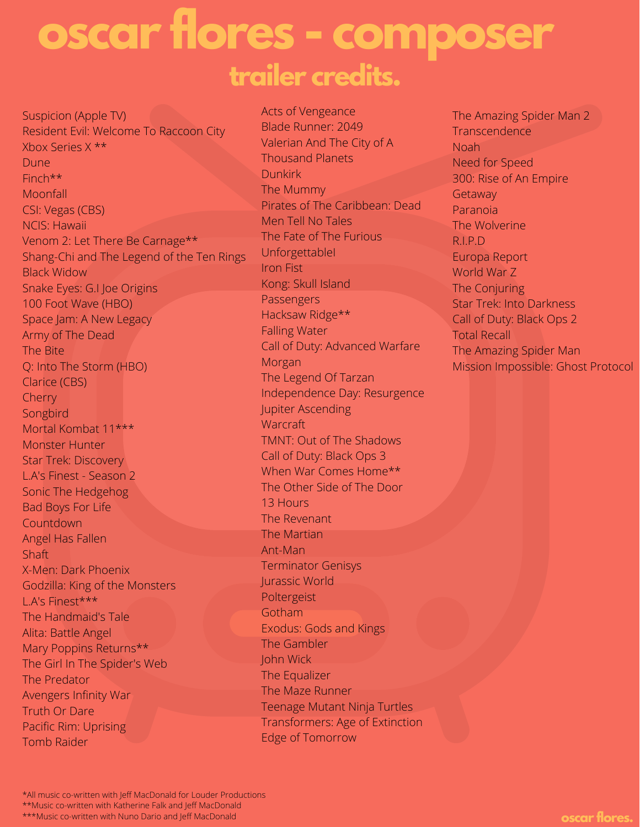## **oscar flores - composer trailer credits.**

Suspicion (Apple TV) Resident Evil: Welcome To Raccoon City Xbox Series X \*\* Dune Finch\*\* Moonfall CSI: Vegas (CBS) NCIS: Hawaii Venom 2: Let There Be Carnage\*\* Shang-Chi and The Legend of the Ten Rings Black Widow Snake Eyes: G.I Joe Origins 100 Foot Wave (HBO) Space Jam: A New Legacy Army of The Dead The Bite Q: Into The Storm (HBO) Clarice (CBS) Cherry **Songbird** Mortal Kombat 11\*\*\* Monster Hunter Star Trek: Discovery L.A's Finest - Season 2 Sonic The Hedgehog Bad Boys For Life **Countdown** Angel Has Fallen **Shaft** X-Men: Dark Phoenix Godzilla: King of the Monsters L.A's Finest\*\*\* The Handmaid's Tale Alita: Battle Angel Mary Poppins Returns\*\* The Girl In The Spider's Web The Predator Avengers Infinity War Truth Or Dare Pacific Rim: Uprising Tomb Raider

Acts of Vengeance Blade Runner: 2049 Valerian And The City of A Thousand Planets **Dunkirk** The Mummy Pirates of The Caribbean: Dead Men Tell No Tales The Fate of The Furious UnforgettableI Iron Fist Kong: Skull Island Passengers Hacksaw Ridge\*\* Falling Water Call of Duty: Advanced Warfare Morgan The Legend Of Tarzan Independence Day: Resurgence Jupiter Ascending **Warcraft** TMNT: Out of The Shadows Call of Duty: Black Ops 3 When War Comes Home\*\* The Other Side of The Door 13 Hours The Revenant The Martian Ant-Man Terminator Genisys Jurassic World Poltergeist **Gotham** Exodus: Gods and Kings The Gambler John Wick The Equalizer The Maze Runner Teenage Mutant Ninja Turtles Transformers: Age of Extinction Edge of Tomorrow

The Amazing Spider Man 2 **Transcendence** Noah Need for Speed 300: Rise of An Empire **Getaway** Paranoia The Wolverine R.I.P.D Europa Report World War Z The Conjuring Star Trek: Into Darkness Call of Duty: Black Ops 2 Total Recall The Amazing Spider Man Mission Impossible: Ghost Protocol

<sup>\*</sup>All music co-written with Jeff MacDonald for Louder Productions

<sup>\*\*</sup>Music co-written with Katherine Falk and Jeff MacDonald

<sup>\*\*\*</sup>Music co-written with Nuno Dario and Jeff MacDonald